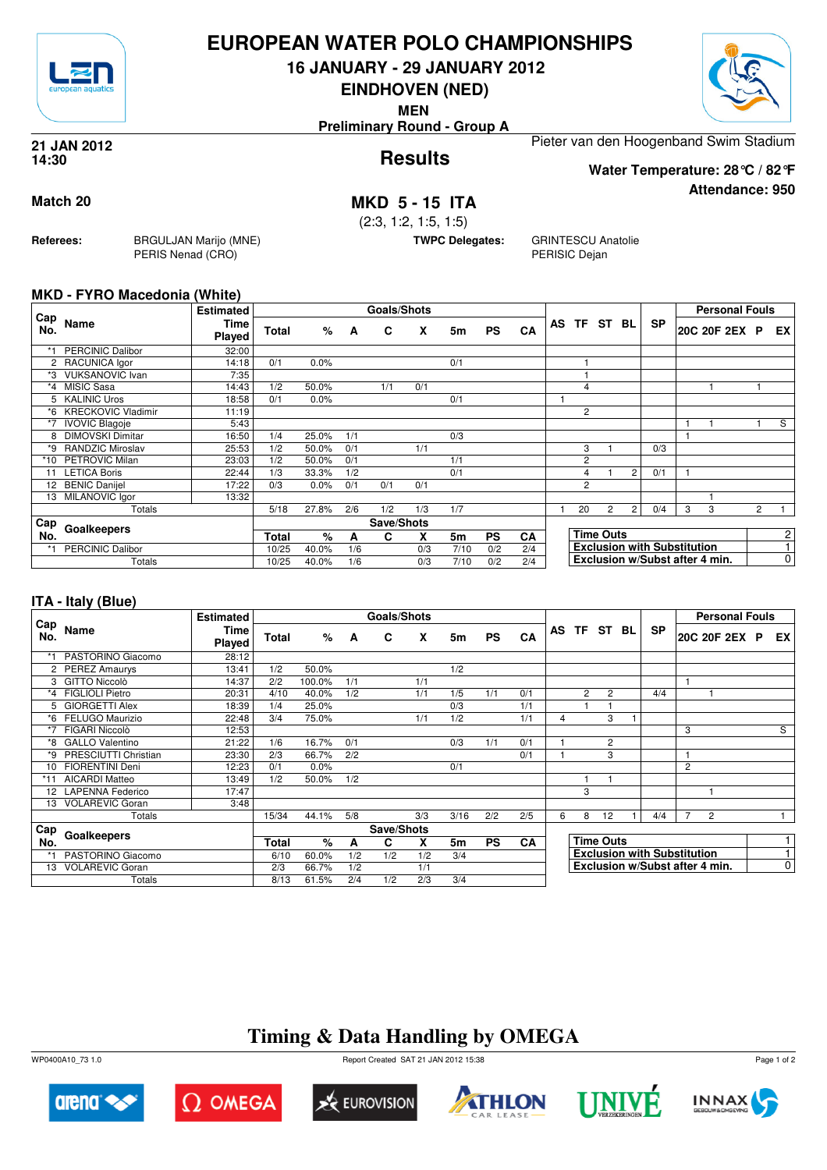

#### **EUROPEAN WATER POLO CHAMPIONSHIPS**

**16 JANUARY - 29 JANUARY 2012**

**EINDHOVEN (NED)**

**MEN**

**Preliminary Round - Group A**



**Attendance: 950**

**Results 21 JAN 2012 14:30**

Pieter van den Hoogenband Swim Stadium **Water Temperature: 28°C / 82°F**

**Match 20 MKD 5 - 15 ITA**

(2:3, 1:2, 1:5, 1:5)

**TWPC Delegates:** GRINTESCU Anatolie PERISIC Dejan

#### **MKD - FYRO Macedonia (White)**

**Referees:** BRGULJAN Marijo (MNE)

PERIS Nenad (CRO)

|            |                                                                                                                                             | <b>Estimated</b> |              |       |     | <b>Goals/Shots</b> |     |      |           |     |                |                  |                |                                    |   | <b>Personal Fouls</b>          |                |                |
|------------|---------------------------------------------------------------------------------------------------------------------------------------------|------------------|--------------|-------|-----|--------------------|-----|------|-----------|-----|----------------|------------------|----------------|------------------------------------|---|--------------------------------|----------------|----------------|
| Cap<br>No. | Name                                                                                                                                        | Time<br>Played   | <b>Total</b> | %     | A   | C                  | X   | 5m   | <b>PS</b> | CA  | AS TF ST       |                  | BL             | <b>SP</b>                          |   | 20C 20F 2EX P                  |                | EX.            |
|            | <b>PERCINIC Dalibor</b>                                                                                                                     | 32:00            |              |       |     |                    |     |      |           |     |                |                  |                |                                    |   |                                |                |                |
|            | 2 RACUNICA lgor                                                                                                                             | 14:18            | 0/1          | 0.0%  |     |                    |     | 0/1  |           |     |                |                  |                |                                    |   |                                |                |                |
| *3         | <b>VUKSANOVIC Ivan</b>                                                                                                                      | 7:35             |              |       |     |                    |     |      |           |     |                |                  |                |                                    |   |                                |                |                |
| $*_{4}$    | <b>MISIC Sasa</b>                                                                                                                           | 14:43            | 1/2          | 50.0% |     | 1/1                | 0/1 |      |           |     | $\overline{4}$ |                  |                |                                    |   |                                |                |                |
|            | <b>KALINIC Uros</b>                                                                                                                         | 18:58            | 0/1          | 0.0%  |     |                    |     | 0/1  |           |     |                |                  |                |                                    |   |                                |                |                |
| *6         | <b>KRECKOVIC Vladimir</b>                                                                                                                   | 11:19            |              |       |     |                    |     |      |           |     | $\overline{2}$ |                  |                |                                    |   |                                |                |                |
| *7         | <b>IVOVIC Blagoje</b>                                                                                                                       | 5:43             |              |       |     |                    |     |      |           |     |                |                  |                |                                    |   |                                |                | S              |
| 8          |                                                                                                                                             | 16:50            | 1/4          | 25.0% | 1/1 |                    |     | 0/3  |           |     |                |                  |                |                                    |   |                                |                |                |
| *9         |                                                                                                                                             | 25:53            | 1/2          | 50.0% | 0/1 |                    | 1/1 |      |           |     | 3              |                  |                | 0/3                                |   |                                |                |                |
|            | <b>PETROVIC Milan</b>                                                                                                                       | 23:03            | 1/2          | 50.0% | 0/1 |                    |     | 1/1  |           |     | 2              |                  |                |                                    |   |                                |                |                |
| 11         |                                                                                                                                             | 22:44            | 1/3          | 33.3% | 1/2 |                    |     | 0/1  |           |     | 4              |                  | $\overline{2}$ | 0/1                                |   |                                |                |                |
|            | <b>BENIC Danijel</b>                                                                                                                        | 17:22            | 0/3          | 0.0%  | 0/1 | 0/1                | 0/1 |      |           |     | $\overline{2}$ |                  |                |                                    |   |                                |                |                |
|            |                                                                                                                                             | 13:32            |              |       |     |                    |     |      |           |     |                |                  |                |                                    |   |                                |                |                |
|            | Totals                                                                                                                                      |                  | 5/18         | 27.8% | 2/6 | 1/2                | 1/3 | 1/7  |           |     | 20             | 2                | $\overline{2}$ | 0/4                                | 3 | 3                              | $\overline{2}$ |                |
|            | <b>DIMOVSKI Dimitar</b><br><b>RANDZIC Miroslav</b><br>*10<br><b>LETICA Boris</b><br>12<br>MILANOVIC Igor<br>13<br>Cap<br>Goalkeepers<br>No. |                  |              |       |     | Save/Shots         |     |      |           |     |                |                  |                |                                    |   |                                |                |                |
|            |                                                                                                                                             |                  | Total        | %     | A   | C                  | X   | 5m   | <b>PS</b> | CA  |                | <b>Time Outs</b> |                |                                    |   |                                |                | $\overline{c}$ |
| *1         | <b>PERCINIC Dalibor</b>                                                                                                                     |                  | 10/25        | 40.0% | 1/6 |                    | 0/3 | 7/10 | 0/2       | 2/4 |                |                  |                | <b>Exclusion with Substitution</b> |   |                                |                |                |
|            | Totals                                                                                                                                      |                  | 10/25        | 40.0% | 1/6 |                    | 0/3 | 7/10 | 0/2       | 2/4 |                |                  |                |                                    |   | Exclusion w/Subst after 4 min. |                | 0              |

#### **ITA - Italy (Blue)**

|            |                        | <b>Estimated</b>      |       |        |     | Goals/Shots |     |                |           |           |    |                  |                |    |                                    |   | <b>Personal Fouls</b>          |             |
|------------|------------------------|-----------------------|-------|--------|-----|-------------|-----|----------------|-----------|-----------|----|------------------|----------------|----|------------------------------------|---|--------------------------------|-------------|
| Cap<br>No. | Name                   | Time<br><b>Played</b> | Total | %      | A   | C           | X   | 5m             | <b>PS</b> | <b>CA</b> | AS |                  | TF ST          | BL | <b>SP</b>                          |   | 20C 20F 2EX P                  | EX          |
|            | PASTORINO Giacomo      | 28:12                 |       |        |     |             |     |                |           |           |    |                  |                |    |                                    |   |                                |             |
|            | 2 PEREZ Amaurys        | 13:41                 | 1/2   | 50.0%  |     |             |     | 1/2            |           |           |    |                  |                |    |                                    |   |                                |             |
| 3          | GITTO Niccolò          | 14:37                 | 2/2   | 100.0% | 1/1 |             | 1/1 |                |           |           |    |                  |                |    |                                    |   |                                |             |
| *4         | <b>FIGLIOLI Pietro</b> | 20:31                 | 4/10  | 40.0%  | 1/2 |             | 1/1 | 1/5            | 1/1       | 0/1       |    | $\overline{2}$   | $\overline{2}$ |    | 4/4                                |   |                                |             |
| 5          | <b>GIORGETTI Alex</b>  | 18:39                 | 1/4   | 25.0%  |     |             |     | 0/3            |           | 1/1       |    |                  |                |    |                                    |   |                                |             |
| *6         | FELUGO Maurizio        | 22:48                 | 3/4   | 75.0%  |     |             | 1/1 | 1/2            |           | 1/1       | 4  |                  | 3              |    |                                    |   |                                |             |
| *7         | FIGARI Niccolò         | 12:53                 |       |        |     |             |     |                |           |           |    |                  |                |    |                                    | 3 |                                | S           |
| *8         | <b>GALLO Valentino</b> | 21:22                 | 1/6   | 16.7%  | 0/1 |             |     | 0/3            | 1/1       | 0/1       |    |                  | $\overline{c}$ |    |                                    |   |                                |             |
| *9         | PRESCIUTTI Christian   | 23:30                 | 2/3   | 66.7%  | 2/2 |             |     |                |           | 0/1       |    |                  | 3              |    |                                    |   |                                |             |
| 10         | <b>FIORENTINI Deni</b> | 12:23                 | 0/1   | 0.0%   |     |             |     | 0/1            |           |           |    |                  |                |    |                                    | 2 |                                |             |
|            | AICARDI Matteo         | 13:49                 | 1/2   | 50.0%  | 1/2 |             |     |                |           |           |    |                  |                |    |                                    |   |                                |             |
|            | 12 LAPENNA Federico    | 17:47                 |       |        |     |             |     |                |           |           |    | 3                |                |    |                                    |   |                                |             |
| 13         | <b>VOLAREVIC Goran</b> | 3:48                  |       |        |     |             |     |                |           |           |    |                  |                |    |                                    |   |                                |             |
|            | Totals                 |                       | 15/34 | 44.1%  | 5/8 |             | 3/3 | 3/16           | 2/2       | 2/5       | 6  | 8                | 12             |    | 4/4                                | 7 | $\overline{2}$                 |             |
| Cap        |                        |                       |       |        |     | Save/Shots  |     |                |           |           |    |                  |                |    |                                    |   |                                |             |
| No.        | Goalkeepers            |                       | Total | %      | A   | C           | x   | 5 <sub>m</sub> | <b>PS</b> | CA        |    | <b>Time Outs</b> |                |    |                                    |   |                                | 1           |
|            | PASTORINO Giacomo      |                       | 6/10  | 60.0%  | 1/2 | 1/2         | 1/2 | 3/4            |           |           |    |                  |                |    | <b>Exclusion with Substitution</b> |   |                                |             |
| 13         | <b>VOLAREVIC Goran</b> |                       | 2/3   | 66.7%  | 1/2 |             | 1/1 |                |           |           |    |                  |                |    |                                    |   | Exclusion w/Subst after 4 min. | $\mathbf 0$ |
|            | Totals                 |                       | 8/13  | 61.5%  | 2/4 | 1/2         | 2/3 | 3/4            |           |           |    |                  |                |    |                                    |   |                                |             |

## **Timing & Data Handling by OMEGA**

WP0400A10\_73 1.0 Report Created SAT 21 JAN 2012 15:38













Page 1 of 2